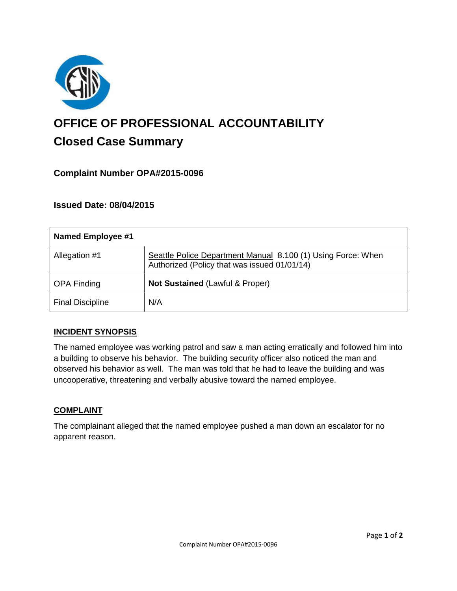

# **OFFICE OF PROFESSIONAL ACCOUNTABILITY Closed Case Summary**

## **Complaint Number OPA#2015-0096**

## **Issued Date: 08/04/2015**

| <b>Named Employee #1</b> |                                                                                                              |
|--------------------------|--------------------------------------------------------------------------------------------------------------|
| Allegation #1            | Seattle Police Department Manual 8.100 (1) Using Force: When<br>Authorized (Policy that was issued 01/01/14) |
| <b>OPA Finding</b>       | Not Sustained (Lawful & Proper)                                                                              |
| <b>Final Discipline</b>  | N/A                                                                                                          |

### **INCIDENT SYNOPSIS**

The named employee was working patrol and saw a man acting erratically and followed him into a building to observe his behavior. The building security officer also noticed the man and observed his behavior as well. The man was told that he had to leave the building and was uncooperative, threatening and verbally abusive toward the named employee.

### **COMPLAINT**

The complainant alleged that the named employee pushed a man down an escalator for no apparent reason.